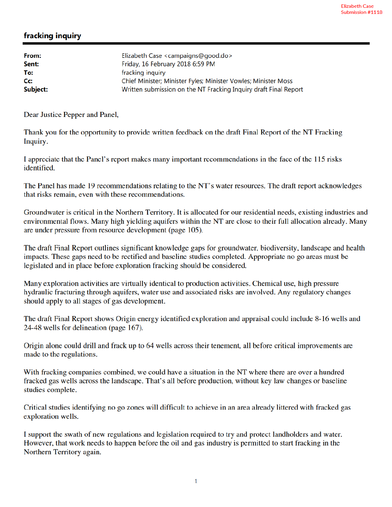## fracking inquiry

| From:    | Elizabeth Case <campaigns@good.do></campaigns@good.do>           |
|----------|------------------------------------------------------------------|
| Sent:    | Friday, 16 February 2018 6:59 PM                                 |
| To:      | fracking inquiry                                                 |
| Cc:      | Chief Minister; Minister Fyles; Minister Vowles; Minister Moss   |
| Subject: | Written submission on the NT Fracking Inquiry draft Final Report |

Dear Justice Pepper and Panel,

Thank you for the opportunity to provide written feedback on the draft Final Report of the NT Fracking Inquiry.

I appreciate that the Panel's report makes many important recommendations in the face of the 115 risks identified.

The Panel has made 19 recommendations relating to the NT's water resources. The draft report acknowledges that risks remain, even with these recommendations.

Groundwater is critical in the Northern Territory. It is allocated for our residential needs, existing industries and environmental flows. Many high yielding aquifers within the NT are close to their full allocation already. Many are under pressure from resource development (page 105).

The draft Final Report outlines significant knowledge gaps for groundwater, biodiversity, landscape and health impacts. These gaps need to be rectified and baseline studies completed. Appropriate no go areas must be legislated and in place before exploration fracking should be considered.

Many exploration activities are virtually identical to production activities. Chemical use, high pressure hydraulic fracturing through aquifers, water use and associated risks are involved. Any regulatory changes should apply to all stages of gas development.

The draft Final Report shows Origin energy identified exploration and appraisal could include 8-16 wells and 24-48 wells for delineation (page 167).

Origin alone could drill and frack up to 64 wells across their tenement, all before critical improvements are made to the regulations.

With fracking companies combined, we could have a situation in the NT where there are over a hundred fracked gas wells across the landscape. That's all before production, without key law changes or baseline studies complete.

Critical studies identifying no go zones will difficult to achieve in an area already littered with fracked gas exploration wells.

I support the swath of new regulations and legislation required to try and protect landholders and water. However, that work needs to happen before the oil and gas industry is permitted to start fracking in the Northern Territory again.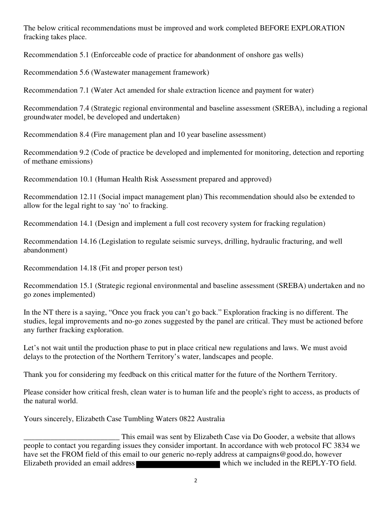The below critical recommendations must be improved and work completed BEFORE EXPLORATION fracking takes place.

Recommendation 5.1 (Enforceable code of practice for abandonment of onshore gas wells)

Recommendation 5.6 (Wastewater management framework)

Recommendation 7.1 (Water Act amended for shale extraction licence and payment for water)

Recommendation 7.4 (Strategic regional environmental and baseline assessment (SREBA), including a regional groundwater model, be developed and undertaken)

Recommendation 8.4 (Fire management plan and 10 year baseline assessment)

Recommendation 9.2 (Code of practice be developed and implemented for monitoring, detection and reporting of methane emissions)

Recommendation 10.1 (Human Health Risk Assessment prepared and approved)

Recommendation 12.11 (Social impact management plan) This recommendation should also be extended to allow for the legal right to say 'no' to fracking.

Recommendation 14.1 (Design and implement a full cost recovery system for fracking regulation)

Recommendation 14.16 (Legislation to regulate seismic surveys, drilling, hydraulic fracturing, and well abandonment)

Recommendation 14.18 (Fit and proper person test)

Recommendation 15.1 (Strategic regional environmental and baseline assessment (SREBA) undertaken and no go zones implemented)

In the NT there is a saying, "Once you frack you can't go back." Exploration fracking is no different. The studies, legal improvements and no-go zones suggested by the panel are critical. They must be actioned before any further fracking exploration.

Let's not wait until the production phase to put in place critical new regulations and laws. We must avoid delays to the protection of the Northern Territory's water, landscapes and people.

Thank you for considering my feedback on this critical matter for the future of the Northern Territory.

Please consider how critical fresh, clean water is to human life and the people's right to access, as products of the natural world.

Yours sincerely, Elizabeth Case Tumbling Waters 0822 Australia

This email was sent by Elizabeth Case via Do Gooder, a website that allows<br>people to contact you regarding issues they consider important. In accordance with web protocol FC 3834 we have set the FROM field of this email to our generic no-reply address at campaigns@good.do, however Elizabeth provided an email address which we included in the REPLY-TO field.